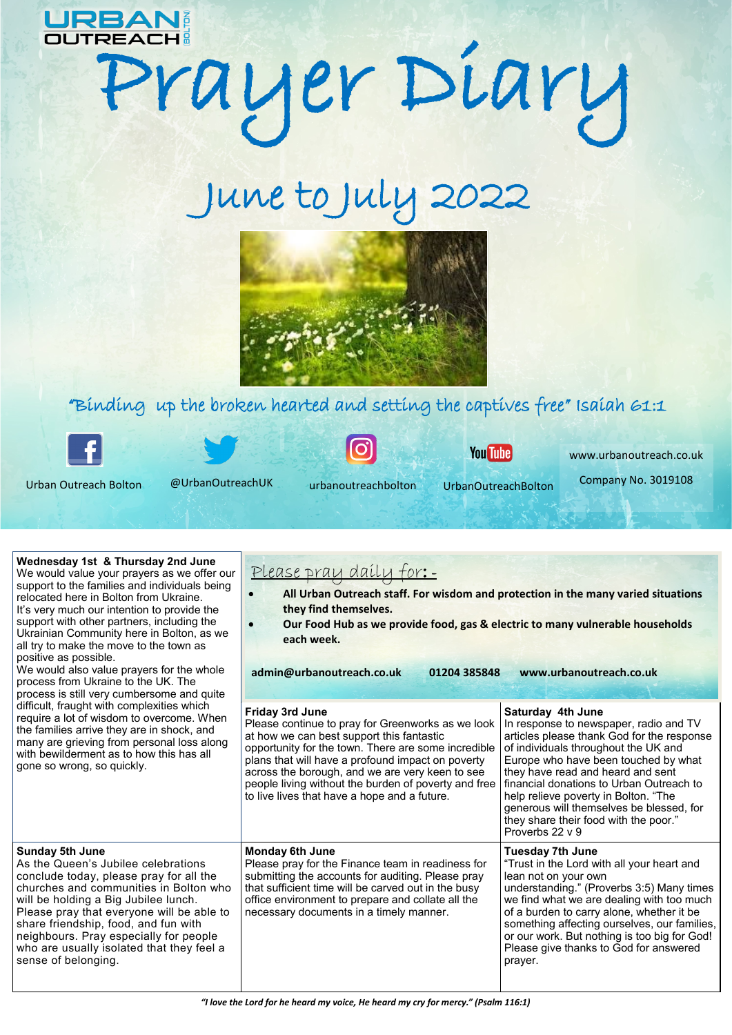

## OUTREACH : PYDIARY

## June to July 2022



## "Binding up the broken hearted and setting the captives free" Isaiah 61:1



Urban Outreach Bolton @UrbanOutreachUK urbanoutreachbolton UrbanOutreachBolton

**You Tube** 

www.urbanoutreach.co.uk

Company No. 3019108

| Wednesday 1st & Thursday 2nd June<br>We would value your prayers as we offer our<br>support to the families and individuals being<br>relocated here in Bolton from Ukraine.<br>It's very much our intention to provide the<br>support with other partners, including the<br>Ukrainian Community here in Bolton, as we<br>all try to make the move to the town as<br>positive as possible.<br>We would also value prayers for the whole<br>process from Ukraine to the UK. The<br>process is still very cumbersome and quite<br>difficult, fraught with complexities which<br>require a lot of wisdom to overcome. When<br>the families arrive they are in shock, and<br>many are grieving from personal loss along<br>with bewilderment as to how this has all<br>gone so wrong, so quickly. | Please pray daily for:-<br>All Urban Outreach staff. For wisdom and protection in the many varied situations<br>$\bullet$<br>they find themselves.<br>Our Food Hub as we provide food, gas & electric to many vulnerable households<br>$\bullet$<br>each week.<br>admin@urbanoutreach.co.uk<br>01204 385848                                                                              | www.urbanoutreach.co.uk                                                                                                                                                                                                                                                                                                                                                                                                    |
|----------------------------------------------------------------------------------------------------------------------------------------------------------------------------------------------------------------------------------------------------------------------------------------------------------------------------------------------------------------------------------------------------------------------------------------------------------------------------------------------------------------------------------------------------------------------------------------------------------------------------------------------------------------------------------------------------------------------------------------------------------------------------------------------|------------------------------------------------------------------------------------------------------------------------------------------------------------------------------------------------------------------------------------------------------------------------------------------------------------------------------------------------------------------------------------------|----------------------------------------------------------------------------------------------------------------------------------------------------------------------------------------------------------------------------------------------------------------------------------------------------------------------------------------------------------------------------------------------------------------------------|
|                                                                                                                                                                                                                                                                                                                                                                                                                                                                                                                                                                                                                                                                                                                                                                                              | Friday 3rd June<br>Please continue to pray for Greenworks as we look<br>at how we can best support this fantastic<br>opportunity for the town. There are some incredible<br>plans that will have a profound impact on poverty<br>across the borough, and we are very keen to see<br>people living without the burden of poverty and free<br>to live lives that have a hope and a future. | Saturday 4th June<br>In response to newspaper, radio and TV<br>articles please thank God for the response<br>of individuals throughout the UK and<br>Europe who have been touched by what<br>they have read and heard and sent<br>financial donations to Urban Outreach to<br>help relieve poverty in Bolton. "The<br>generous will themselves be blessed, for<br>they share their food with the poor."<br>Proverbs 22 v 9 |
| <b>Sunday 5th June</b><br>As the Queen's Jubilee celebrations<br>conclude today, please pray for all the<br>churches and communities in Bolton who<br>will be holding a Big Jubilee lunch.<br>Please pray that everyone will be able to<br>share friendship, food, and fun with<br>neighbours. Pray especially for people<br>who are usually isolated that they feel a<br>sense of belonging.                                                                                                                                                                                                                                                                                                                                                                                                | <b>Monday 6th June</b><br>Please pray for the Finance team in readiness for<br>submitting the accounts for auditing. Please pray<br>that sufficient time will be carved out in the busy<br>office environment to prepare and collate all the<br>necessary documents in a timely manner.                                                                                                  | <b>Tuesday 7th June</b><br>"Trust in the Lord with all your heart and<br>lean not on your own<br>understanding." (Proverbs 3:5) Many times<br>we find what we are dealing with too much<br>of a burden to carry alone, whether it be<br>something affecting ourselves, our families,<br>or our work. But nothing is too big for God!<br>Please give thanks to God for answered<br>prayer.                                  |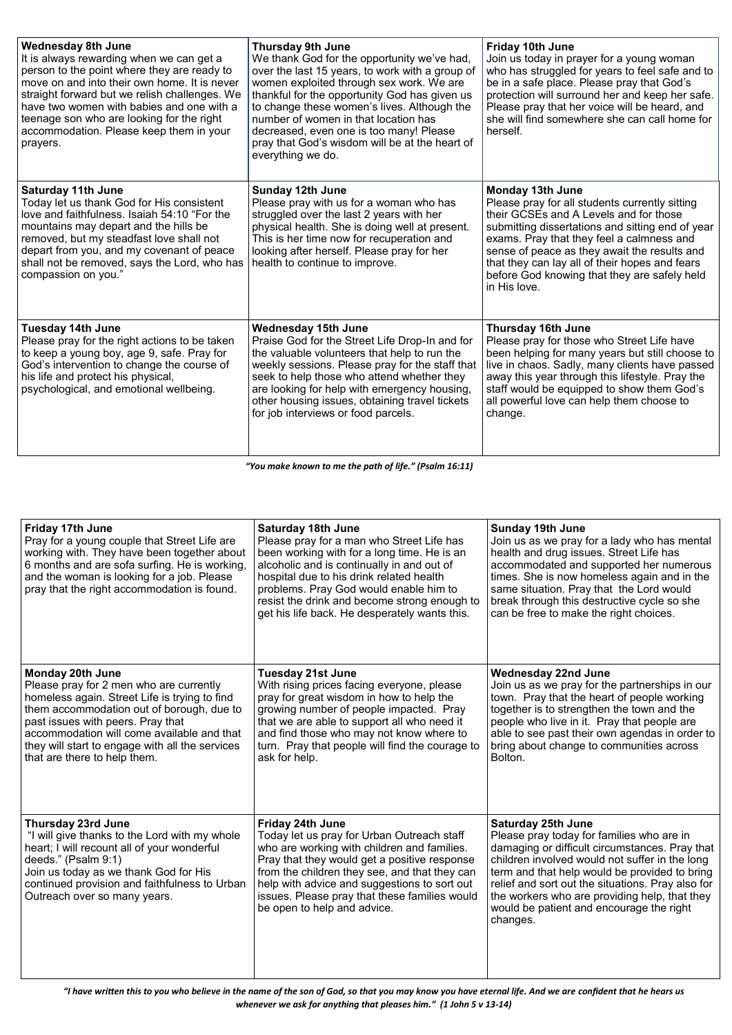| <b>Wednesday 8th June</b><br>It is always rewarding when we can get a<br>person to the point where they are ready to<br>move on and into their own home. It is never<br>straight forward but we relish challenges. We<br>have two women with babies and one with a<br>teenage son who are looking for the right<br>accommodation. Please keep them in your<br>prayers. | <b>Thursday 9th June</b><br>We thank God for the opportunity we've had,<br>over the last 15 years, to work with a group of<br>women exploited through sex work. We are<br>thankful for the opportunity God has given us<br>to change these women's lives. Although the<br>number of women in that location has<br>decreased, even one is too many! Please<br>pray that God's wisdom will be at the heart of<br>everything we do. | Friday 10th June<br>Join us today in prayer for a young woman<br>who has struggled for years to feel safe and to<br>be in a safe place. Please pray that God's<br>protection will surround her and keep her safe.<br>Please pray that her voice will be heard, and<br>she will find somewhere she can call home for<br>herself.                                                 |
|------------------------------------------------------------------------------------------------------------------------------------------------------------------------------------------------------------------------------------------------------------------------------------------------------------------------------------------------------------------------|----------------------------------------------------------------------------------------------------------------------------------------------------------------------------------------------------------------------------------------------------------------------------------------------------------------------------------------------------------------------------------------------------------------------------------|---------------------------------------------------------------------------------------------------------------------------------------------------------------------------------------------------------------------------------------------------------------------------------------------------------------------------------------------------------------------------------|
| <b>Saturday 11th June</b><br>Today let us thank God for His consistent<br>love and faithfulness. Isaiah 54:10 "For the<br>mountains may depart and the hills be<br>removed, but my steadfast love shall not<br>depart from you, and my covenant of peace<br>shall not be removed, says the Lord, who has<br>compassion on you."                                        | Sunday 12th June<br>Please pray with us for a woman who has<br>struggled over the last 2 years with her<br>physical health. She is doing well at present.<br>This is her time now for recuperation and<br>looking after herself. Please pray for her<br>health to continue to improve.                                                                                                                                           | Monday 13th June<br>Please pray for all students currently sitting<br>their GCSEs and A Levels and for those<br>submitting dissertations and sitting end of year<br>exams. Pray that they feel a calmness and<br>sense of peace as they await the results and<br>that they can lay all of their hopes and fears<br>before God knowing that they are safely held<br>in His love. |
| Tuesday 14th June<br>Please pray for the right actions to be taken<br>to keep a young boy, age 9, safe. Pray for<br>God's intervention to change the course of<br>his life and protect his physical,<br>psychological, and emotional wellbeing.                                                                                                                        | Wednesday 15th June<br>Praise God for the Street Life Drop-In and for<br>the valuable volunteers that help to run the<br>weekly sessions. Please pray for the staff that<br>seek to help those who attend whether they<br>are looking for help with emergency housing,<br>other housing issues, obtaining travel tickets<br>for job interviews or food parcels.                                                                  | <b>Thursday 16th June</b><br>Please pray for those who Street Life have<br>been helping for many years but still choose to<br>live in chaos. Sadly, many clients have passed<br>away this year through this lifestyle. Pray the<br>staff would be equipped to show them God's<br>all powerful love can help them choose to<br>change.                                           |

*"You make known to me the path of life." (Psalm 16:11)*

| <b>Friday 17th June</b><br>Pray for a young couple that Street Life are<br>working with. They have been together about<br>6 months and are sofa surfing. He is working,<br>and the woman is looking for a job. Please<br>pray that the right accommodation is found.                                                            | <b>Saturday 18th June</b><br>Please pray for a man who Street Life has<br>been working with for a long time. He is an<br>alcoholic and is continually in and out of<br>hospital due to his drink related health<br>problems. Pray God would enable him to<br>resist the drink and become strong enough to<br>get his life back. He desperately wants this. | <b>Sunday 19th June</b><br>Join us as we pray for a lady who has mental<br>health and drug issues. Street Life has<br>accommodated and supported her numerous<br>times. She is now homeless again and in the<br>same situation. Pray that the Lord would<br>break through this destructive cycle so she<br>can be free to make the right choices.                                         |
|---------------------------------------------------------------------------------------------------------------------------------------------------------------------------------------------------------------------------------------------------------------------------------------------------------------------------------|------------------------------------------------------------------------------------------------------------------------------------------------------------------------------------------------------------------------------------------------------------------------------------------------------------------------------------------------------------|-------------------------------------------------------------------------------------------------------------------------------------------------------------------------------------------------------------------------------------------------------------------------------------------------------------------------------------------------------------------------------------------|
| Monday 20th June<br>Please pray for 2 men who are currently<br>homeless again. Street Life is trying to find<br>them accommodation out of borough, due to<br>past issues with peers. Pray that<br>accommodation will come available and that<br>they will start to engage with all the services<br>that are there to help them. | <b>Tuesday 21st June</b><br>With rising prices facing everyone, please<br>pray for great wisdom in how to help the<br>growing number of people impacted. Pray<br>that we are able to support all who need it<br>and find those who may not know where to<br>turn. Pray that people will find the courage to<br>ask for help.                               | <b>Wednesday 22nd June</b><br>Join us as we pray for the partnerships in our<br>town. Pray that the heart of people working<br>together is to strengthen the town and the<br>people who live in it. Pray that people are<br>able to see past their own agendas in order to<br>bring about change to communities across<br>Bolton.                                                         |
| <b>Thursday 23rd June</b><br>"I will give thanks to the Lord with my whole<br>heart; I will recount all of your wonderful<br>deeds." (Psalm 9:1)<br>Join us today as we thank God for His<br>continued provision and faithfulness to Urban<br>Outreach over so many years.                                                      | Friday 24th June<br>Today let us pray for Urban Outreach staff<br>who are working with children and families.<br>Pray that they would get a positive response<br>from the children they see, and that they can<br>help with advice and suggestions to sort out<br>issues. Please pray that these families would<br>be open to help and advice.             | <b>Saturday 25th June</b><br>Please pray today for families who are in<br>damaging or difficult circumstances. Pray that<br>children involved would not suffer in the long<br>term and that help would be provided to bring<br>relief and sort out the situations. Pray also for<br>the workers who are providing help, that they<br>would be patient and encourage the right<br>changes. |

*"I have written this to you who believe in the name of the son of God, so that you may know you have eternal life. And we are confident that he hears us whenever we ask for anything that pleases him." (1 John 5 v 13-14)*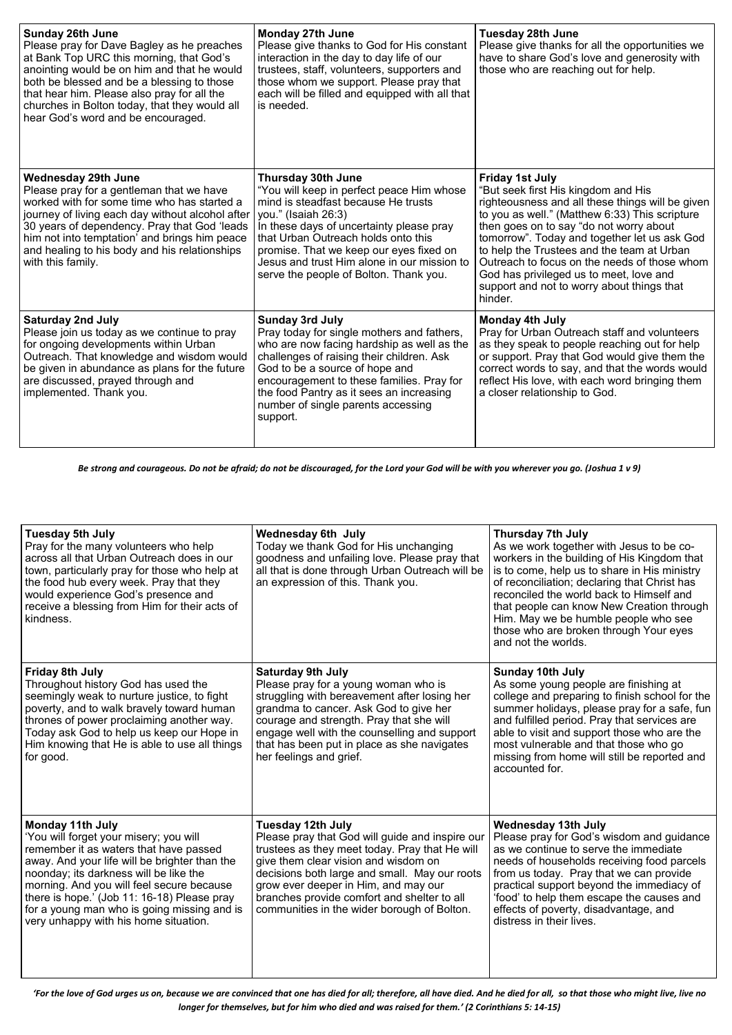| Sunday 26th June<br>Please pray for Dave Bagley as he preaches<br>at Bank Top URC this morning, that God's<br>anointing would be on him and that he would<br>both be blessed and be a blessing to those<br>that hear him. Please also pray for all the<br>churches in Bolton today, that they would all<br>hear God's word and be encouraged. | Monday 27th June<br>Please give thanks to God for His constant<br>interaction in the day to day life of our<br>trustees, staff, volunteers, supporters and<br>those whom we support. Please pray that<br>each will be filled and equipped with all that<br>is needed.                                                                                | <b>Tuesday 28th June</b><br>Please give thanks for all the opportunities we<br>have to share God's love and generosity with<br>those who are reaching out for help.                                                                                                                                                                                                                                                                                              |
|-----------------------------------------------------------------------------------------------------------------------------------------------------------------------------------------------------------------------------------------------------------------------------------------------------------------------------------------------|------------------------------------------------------------------------------------------------------------------------------------------------------------------------------------------------------------------------------------------------------------------------------------------------------------------------------------------------------|------------------------------------------------------------------------------------------------------------------------------------------------------------------------------------------------------------------------------------------------------------------------------------------------------------------------------------------------------------------------------------------------------------------------------------------------------------------|
| Wednesday 29th June<br>Please pray for a gentleman that we have<br>worked with for some time who has started a<br>journey of living each day without alcohol after<br>30 years of dependency. Pray that God 'leads<br>him not into temptation' and brings him peace<br>and healing to his body and his relationships<br>with this family.     | Thursday 30th June<br>"You will keep in perfect peace Him whose<br>mind is steadfast because He trusts<br>you." (Isaiah 26:3)<br>In these days of uncertainty please pray<br>that Urban Outreach holds onto this<br>promise. That we keep our eyes fixed on<br>Jesus and trust Him alone in our mission to<br>serve the people of Bolton. Thank you. | <b>Friday 1st July</b><br>"But seek first His kingdom and His<br>righteousness and all these things will be given<br>to you as well." (Matthew 6:33) This scripture<br>then goes on to say "do not worry about<br>tomorrow". Today and together let us ask God<br>to help the Trustees and the team at Urban<br>Outreach to focus on the needs of those whom<br>God has privileged us to meet, love and<br>support and not to worry about things that<br>hinder. |
| <b>Saturday 2nd July</b><br>Please join us today as we continue to pray<br>for ongoing developments within Urban<br>Outreach. That knowledge and wisdom would<br>be given in abundance as plans for the future<br>are discussed, prayed through and<br>implemented. Thank you.                                                                | <b>Sunday 3rd July</b><br>Pray today for single mothers and fathers,<br>who are now facing hardship as well as the<br>challenges of raising their children. Ask<br>God to be a source of hope and<br>encouragement to these families. Pray for<br>the food Pantry as it sees an increasing<br>number of single parents accessing<br>support.         | <b>Monday 4th July</b><br>Pray for Urban Outreach staff and volunteers<br>as they speak to people reaching out for help<br>or support. Pray that God would give them the<br>correct words to say, and that the words would<br>reflect His love, with each word bringing them<br>a closer relationship to God.                                                                                                                                                    |

*Be strong and courageous. Do not be afraid; do not be discouraged, for the Lord your God will be with you wherever you go. (Joshua 1 v 9)*

| Tuesday 5th July<br>Pray for the many volunteers who help<br>across all that Urban Outreach does in our<br>town, particularly pray for those who help at<br>the food hub every week. Pray that they<br>would experience God's presence and<br>receive a blessing from Him for their acts of<br>kindness.                                                                            | <b>Wednesday 6th July</b><br>Today we thank God for His unchanging<br>goodness and unfailing love. Please pray that<br>all that is done through Urban Outreach will be<br>an expression of this. Thank you.                                                                                                                                           | Thursday 7th July<br>As we work together with Jesus to be co-<br>workers in the building of His Kingdom that<br>is to come, help us to share in His ministry<br>of reconciliation; declaring that Christ has<br>reconciled the world back to Himself and<br>that people can know New Creation through<br>Him. May we be humble people who see<br>those who are broken through Your eyes<br>and not the worlds. |
|-------------------------------------------------------------------------------------------------------------------------------------------------------------------------------------------------------------------------------------------------------------------------------------------------------------------------------------------------------------------------------------|-------------------------------------------------------------------------------------------------------------------------------------------------------------------------------------------------------------------------------------------------------------------------------------------------------------------------------------------------------|----------------------------------------------------------------------------------------------------------------------------------------------------------------------------------------------------------------------------------------------------------------------------------------------------------------------------------------------------------------------------------------------------------------|
| Friday 8th July<br>Throughout history God has used the<br>seemingly weak to nurture justice, to fight<br>poverty, and to walk bravely toward human<br>thrones of power proclaiming another way.<br>Today ask God to help us keep our Hope in<br>Him knowing that He is able to use all things<br>for good.                                                                          | <b>Saturday 9th July</b><br>Please pray for a young woman who is<br>struggling with bereavement after losing her<br>grandma to cancer. Ask God to give her<br>courage and strength. Pray that she will<br>engage well with the counselling and support<br>that has been put in place as she navigates<br>her feelings and grief.                      | Sunday 10th July<br>As some young people are finishing at<br>college and preparing to finish school for the<br>summer holidays, please pray for a safe, fun<br>and fulfilled period. Pray that services are<br>able to visit and support those who are the<br>most vulnerable and that those who go<br>missing from home will still be reported and<br>accounted for.                                          |
| Monday 11th July<br>'You will forget your misery; you will<br>remember it as waters that have passed<br>away. And your life will be brighter than the<br>noonday; its darkness will be like the<br>morning. And you will feel secure because<br>there is hope.' (Job 11: 16-18) Please pray<br>for a young man who is going missing and is<br>very unhappy with his home situation. | Tuesday 12th July<br>Please pray that God will guide and inspire our<br>trustees as they meet today. Pray that He will<br>give them clear vision and wisdom on<br>decisions both large and small. May our roots<br>grow ever deeper in Him, and may our<br>branches provide comfort and shelter to all<br>communities in the wider borough of Bolton. | <b>Wednesday 13th July</b><br>Please pray for God's wisdom and guidance<br>as we continue to serve the immediate<br>needs of households receiving food parcels<br>from us today. Pray that we can provide<br>practical support beyond the immediacy of<br>'food' to help them escape the causes and<br>effects of poverty, disadvantage, and<br>distress in their lives.                                       |

*'For the love of God urges us on, because we are convinced that one has died for all; therefore, all have died. And he died for all, so that those who might live, live no longer for themselves, but for him who died and was raised for them.' (2 Corinthians 5: 14-15)*